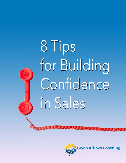

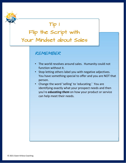Your Mindset about Sales Tip 1 Flip the Script with

#### REMEMBER

- The world revolves around sales. Humanity could not function without it.
- Stop letting others label you with negative adjectives. You have something special to offer and you are NOT that person.
- Change the word 'selling' to 'educating.' You are identifying exactly what your prospect needs and then you're *educating them* on how your product or service can help meet their needs.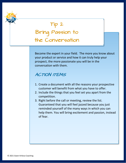

Become the expert in your field. The more you know about your product or service and how it can truly help your prospect, the more passionate you will be in the conversation with them.

#### ACTION ITEMS

- 1. Create a document with all the reasons your prospective customer will benefit from what you have to offer.
- 2. Include the things that you feel set you apart from the competition.
- 3. Right before the call or meeting, review the list. Guaranteed that you will feel jazzed because you just reminded yourself of the many ways in which you can help them. You will bring excitement and passion, instead of fear.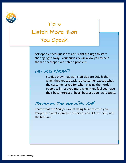

# Tip 3 Listen More than You Speak

Ask open‐ended questions and resist the urge to start sharing right away. Your curiosity will allow you to help them or perhaps even solve a problem.

### DID YOU KNOW?

Studies show that wait staff tips are 20% higher when they repeat back to a customer exactly what the customer asked for when placing their order. People will trust you more when they feel you have their best interest at heart because you *heard them.*

## Features Tell. Benefits Sell!

Share what the *benefits* are of doing business with you. People buy what a product or service can DO for them, not the features.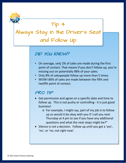

### DID YOU KNOW?

- On average, only 2% of sales are made during the first point of contact. That means if you don't follow up, you're missing out on potentially 98% of your sales.
- Only 8% of salespeople follow up more than 5 times.
- WOW! 80% of sales are made between the fifth and twelfth point of contact.

### PRO TIP

- Get permission and agree on a specific date and time to follow up. This is not pushy or controlling ‐ it is just good business!
	- o For example, I might say, part of my job is to follow up so would it be okay with you if I call you next Thursday at 4 pm to see if you have any additional questions and what the next steps might be?"
- Silence is not a decision. Follow up until you get a 'yes', 'no', or 'no, not right now'.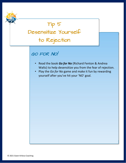

- Read the book *Go for No* (Richard Fenton & Andrea Waltz) to help desensitize you from the fear of rejection.
- Play the *Go for No* game and make it fun by rewarding yourself after you've hit your 'NO' goal.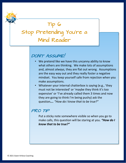## Tip 6 Stop Pretending You're a Mind Reader

## DON'T ASSUME!

- We pretend like we have this uncanny ability to know what others are thinking. We make lots of assumptions and, almost *always,* they are flat out wrong. Assumptions are the easy way out and they really foster a negative mindset. You keep yourself safe from rejection when you make assumptions.
- Whatever your internal chatterbox is saying (e.g., 'they must not be interested' or 'maybe they think it's too expensive' or 'I've already called them 3 times and now they are going to think I'm being pushy) ask the question*…. "How do I know that to be true?"*

#### PRO TIP

Put a sticky note somewhere visible so when you go to make calls, this question will be staring at you. *"How do I know that to be true?"*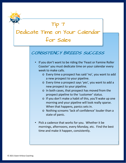

### CONSISTENCY BREEDS SUCCESS

- If you don't want to be riding the 'Feast or Famine Roller Coaster' you must dedicate time on your calendar every week to make calls.
	- o Every time a prospect has said 'no', you want to add a new prospect to your pipeline.
	- o Every time a prospect says 'yes', you want to add a new prospect to your pipeline.
	- o In both cases, that prospect has moved from the prospect pipeline to the 'customer' status.
	- o If you don't make a habit of this, you'll wake up one morning and your pipeline will look really sparse. When that happens, panics sets in.
	- o Nothing screams 'lack of confidence' louder than a state of panic.
- Pick a cadence that works for you. Whether it be mornings, afternoons, every Monday, etc. Find the best time and make it happen, consistently.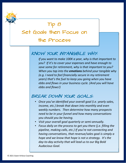## Tip 8

# Set Goals then Focus on the Process

### KNOW YOUR INTANGIBLE WHY:

*If you want to make 100K a year, why is that important to you? If it's to cover your expenses and have enough to save some for retirement, why is that important to you? When you tap into the emotions behind your tangible why (e.g. I need to feel financially secure in my retirement years) that's the fuel to keep you going when you have ebbs and flows in your business cycle. (And you will have ebbs and flows!)* 

### BREAK DOWN YOUR GOALS:

- *Once you've identified your overall goal (i.e. yearly sales, income, etc.) break that down into monthly and even weekly numbers. Then determine how many prospects need to be in your funnel and how many conversations you should you be having.*
- *Visit your overall goal quarterly or semi‐annually.*
- *Focus daily on the process to get you there (j.e. filling the pipeline, making calls, etc.) If you're not connecting and having conversations, that revenue/sales goal is simply a hope and we know that hope is not a strategy. It's the day‐to‐day activity that will lead us to our Big Bold Audacious Goal.*